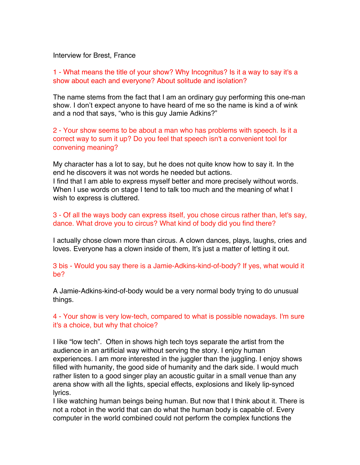Interview for Brest, France

1 - What means the title of your show? Why Incognitus? Is it a way to say it's a show about each and everyone? About solitude and isolation?

The name stems from the fact that I am an ordinary guy performing this one-man show. I don't expect anyone to have heard of me so the name is kind a of wink and a nod that says, "who is this guy Jamie Adkins?"

2 - Your show seems to be about a man who has problems with speech. Is it a correct way to sum it up? Do you feel that speech isn't a convenient tool for convening meaning?

My character has a lot to say, but he does not quite know how to say it. In the end he discovers it was not words he needed but actions. I find that I am able to express myself better and more precisely without words. When I use words on stage I tend to talk too much and the meaning of what I wish to express is cluttered.

3 - Of all the ways body can express itself, you chose circus rather than, let's say, dance. What drove you to circus? What kind of body did you find there?

I actually chose clown more than circus. A clown dances, plays, laughs, cries and loves. Everyone has a clown inside of them, It's just a matter of letting it out.

3 bis - Would you say there is a Jamie-Adkins-kind-of-body? If yes, what would it be?

A Jamie-Adkins-kind-of-body would be a very normal body trying to do unusual things.

4 - Your show is very low-tech, compared to what is possible nowadays. I'm sure it's a choice, but why that choice?

I like "low tech". Often in shows high tech toys separate the artist from the audience in an artificial way without serving the story. I enjoy human experiences. I am more interested in the juggler than the juggling. I enjoy shows filled with humanity, the good side of humanity and the dark side. I would much rather listen to a good singer play an acoustic guitar in a small venue than any arena show with all the lights, special effects, explosions and likely lip-synced lyrics.

I like watching human beings being human. But now that I think about it. There is not a robot in the world that can do what the human body is capable of. Every computer in the world combined could not perform the complex functions the